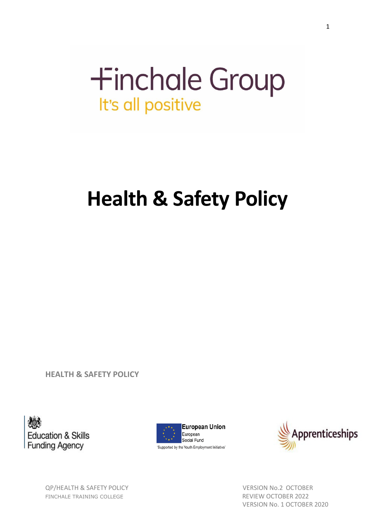# **+inchale Group** It's all positive

## **Health & Safety Policy**

**HEALTH & SAFETY POLICY**

**Education & Skills Funding Agency** 





QP/HEALTH & SAFETY POLICY VERSION No.2 OCTOBER FINCHALE TRAINING COLLEGE **REVIEW OCTOBER 2022** 

VERSION No. 1 OCTOBER 2020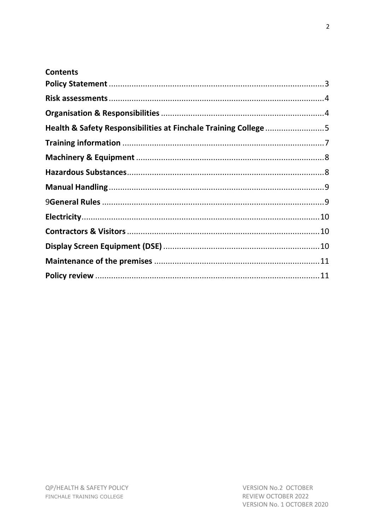| <b>Contents</b>                                                 |  |
|-----------------------------------------------------------------|--|
|                                                                 |  |
|                                                                 |  |
|                                                                 |  |
| Health & Safety Responsibilities at Finchale Training College 5 |  |
|                                                                 |  |
|                                                                 |  |
|                                                                 |  |
|                                                                 |  |
|                                                                 |  |
|                                                                 |  |
|                                                                 |  |
|                                                                 |  |
|                                                                 |  |
|                                                                 |  |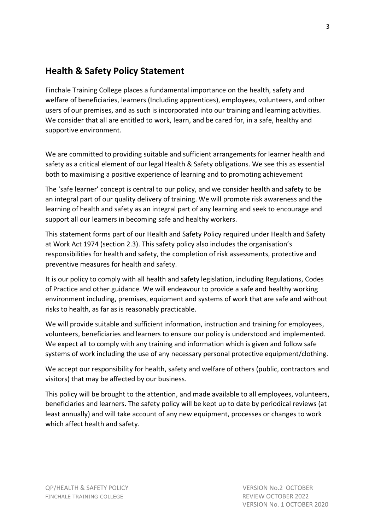## <span id="page-2-0"></span>**Health & Safety Policy Statement**

Finchale Training College places a fundamental importance on the health, safety and welfare of beneficiaries, learners (Including apprentices), employees, volunteers, and other users of our premises, and as such is incorporated into our training and learning activities. We consider that all are entitled to work, learn, and be cared for, in a safe, healthy and supportive environment.

We are committed to providing suitable and sufficient arrangements for learner health and safety as a critical element of our legal Health & Safety obligations. We see this as essential both to maximising a positive experience of learning and to promoting achievement

The 'safe learner' concept is central to our policy, and we consider health and safety to be an integral part of our quality delivery of training. We will promote risk awareness and the learning of health and safety as an integral part of any learning and seek to encourage and support all our learners in becoming safe and healthy workers.

This statement forms part of our Health and Safety Policy required under Health and Safety at Work Act 1974 (section 2.3). This safety policy also includes the organisation's responsibilities for health and safety, the completion of risk assessments, protective and preventive measures for health and safety.

It is our policy to comply with all health and safety legislation, including Regulations, Codes of Practice and other guidance. We will endeavour to provide a safe and healthy working environment including, premises, equipment and systems of work that are safe and without risks to health, as far as is reasonably practicable.

We will provide suitable and sufficient information, instruction and training for employees, volunteers, beneficiaries and learners to ensure our policy is understood and implemented. We expect all to comply with any training and information which is given and follow safe systems of work including the use of any necessary personal protective equipment/clothing.

We accept our responsibility for health, safety and welfare of others (public, contractors and visitors) that may be affected by our business.

This policy will be brought to the attention, and made available to all employees, volunteers, beneficiaries and learners. The safety policy will be kept up to date by periodical reviews (at least annually) and will take account of any new equipment, processes or changes to work which affect health and safety.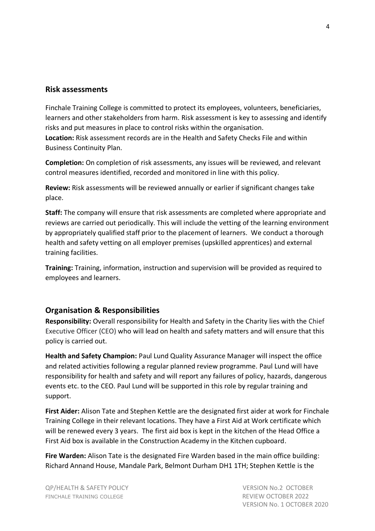#### <span id="page-3-0"></span>**Risk assessments**

Finchale Training College is committed to protect its employees, volunteers, beneficiaries, learners and other stakeholders from harm. Risk assessment is key to assessing and identify risks and put measures in place to control risks within the organisation.

**Location:** Risk assessment records are in the Health and Safety Checks File and within Business Continuity Plan.

**Completion:** On completion of risk assessments, any issues will be reviewed, and relevant control measures identified, recorded and monitored in line with this policy.

**Review:** Risk assessments will be reviewed annually or earlier if significant changes take place.

**Staff:** The company will ensure that risk assessments are completed where appropriate and reviews are carried out periodically. This will include the vetting of the learning environment by appropriately qualified staff prior to the placement of learners. We conduct a thorough health and safety vetting on all employer premises (upskilled apprentices) and external training facilities.

**Training:** Training, information, instruction and supervision will be provided as required to employees and learners.

#### <span id="page-3-1"></span>**Organisation & Responsibilities**

**Responsibility:** Overall responsibility for Health and Safety in the Charity lies with the Chief Executive Officer (CEO) who will lead on health and safety matters and will ensure that this policy is carried out.

**Health and Safety Champion:** Paul Lund Quality Assurance Manager will inspect the office and related activities following a regular planned review programme. Paul Lund will have responsibility for health and safety and will report any failures of policy, hazards, dangerous events etc. to the CEO. Paul Lund will be supported in this role by regular training and support.

**First Aider:** Alison Tate and Stephen Kettle are the designated first aider at work for Finchale Training College in their relevant locations. They have a First Aid at Work certificate which will be renewed every 3 years. The first aid box is kept in the kitchen of the Head Office a First Aid box is available in the Construction Academy in the Kitchen cupboard.

**Fire Warden:** Alison Tate is the designated Fire Warden based in the main office building: Richard Annand House, Mandale Park, Belmont Durham DH1 1TH; Stephen Kettle is the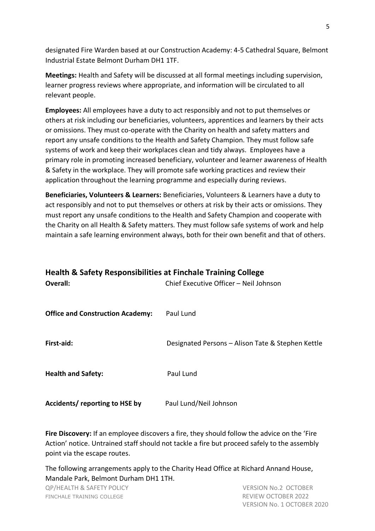designated Fire Warden based at our Construction Academy: 4-5 Cathedral Square, Belmont Industrial Estate Belmont Durham DH1 1TF.

**Meetings:** Health and Safety will be discussed at all formal meetings including supervision, learner progress reviews where appropriate, and information will be circulated to all relevant people.

**Employees:** All employees have a duty to act responsibly and not to put themselves or others at risk including our beneficiaries, volunteers, apprentices and learners by their acts or omissions. They must co-operate with the Charity on health and safety matters and report any unsafe conditions to the Health and Safety Champion. They must follow safe systems of work and keep their workplaces clean and tidy always. Employees have a primary role in promoting increased beneficiary, volunteer and learner awareness of Health & Safety in the workplace. They will promote safe working practices and review their application throughout the learning programme and especially during reviews.

**Beneficiaries, Volunteers & Learners:** Beneficiaries, Volunteers & Learners have a duty to act responsibly and not to put themselves or others at risk by their acts or omissions. They must report any unsafe conditions to the Health and Safety Champion and cooperate with the Charity on all Health & Safety matters. They must follow safe systems of work and help maintain a safe learning environment always, both for their own benefit and that of others.

<span id="page-4-0"></span>

| <b>Health &amp; Safety Responsibilities at Finchale Training College</b><br><b>Overall:</b> | Chief Executive Officer - Neil Johnson            |
|---------------------------------------------------------------------------------------------|---------------------------------------------------|
| <b>Office and Construction Academy:</b>                                                     | Paul Lund                                         |
| First-aid:                                                                                  | Designated Persons - Alison Tate & Stephen Kettle |
| <b>Health and Safety:</b>                                                                   | Paul Lund                                         |
| Accidents/reporting to HSE by                                                               | Paul Lund/Neil Johnson                            |

**Fire Discovery:** If an employee discovers a fire, they should follow the advice on the 'Fire Action' notice. Untrained staff should not tackle a fire but proceed safely to the assembly point via the escape routes.

The following arrangements apply to the Charity Head Office at Richard Annand House, Mandale Park, Belmont Durham DH1 1TH.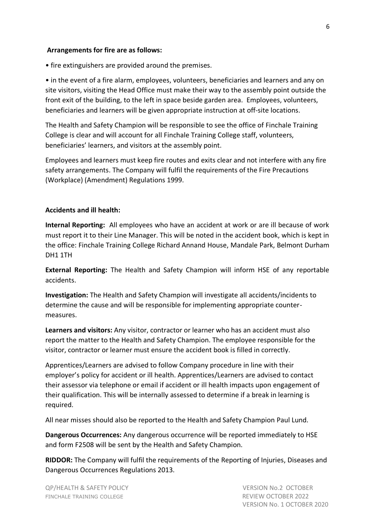#### **Arrangements for fire are as follows:**

• fire extinguishers are provided around the premises.

• in the event of a fire alarm, employees, volunteers, beneficiaries and learners and any on site visitors, visiting the Head Office must make their way to the assembly point outside the front exit of the building, to the left in space beside garden area. Employees, volunteers, beneficiaries and learners will be given appropriate instruction at off-site locations.

The Health and Safety Champion will be responsible to see the office of Finchale Training College is clear and will account for all Finchale Training College staff, volunteers, beneficiaries' learners, and visitors at the assembly point.

Employees and learners must keep fire routes and exits clear and not interfere with any fire safety arrangements. The Company will fulfil the requirements of the Fire Precautions (Workplace) (Amendment) Regulations 1999.

#### **Accidents and ill health:**

**Internal Reporting:** All employees who have an accident at work or are ill because of work must report it to their Line Manager. This will be noted in the accident book, which is kept in the office: Finchale Training College Richard Annand House, Mandale Park, Belmont Durham DH1 1TH

**External Reporting:** The Health and Safety Champion will inform HSE of any reportable accidents.

**Investigation:** The Health and Safety Champion will investigate all accidents/incidents to determine the cause and will be responsible for implementing appropriate countermeasures.

**Learners and visitors:** Any visitor, contractor or learner who has an accident must also report the matter to the Health and Safety Champion. The employee responsible for the visitor, contractor or learner must ensure the accident book is filled in correctly.

Apprentices/Learners are advised to follow Company procedure in line with their employer's policy for accident or ill health. Apprentices/Learners are advised to contact their assessor via telephone or email if accident or ill health impacts upon engagement of their qualification. This will be internally assessed to determine if a break in learning is required.

All near misses should also be reported to the Health and Safety Champion Paul Lund.

**Dangerous Occurrences:** Any dangerous occurrence will be reported immediately to HSE and form F2508 will be sent by the Health and Safety Champion.

**RIDDOR:** The Company will fulfil the requirements of the Reporting of Injuries, Diseases and Dangerous Occurrences Regulations 2013.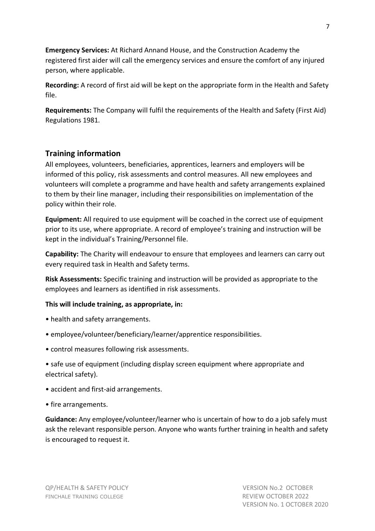**Emergency Services:** At Richard Annand House, and the Construction Academy the registered first aider will call the emergency services and ensure the comfort of any injured person, where applicable.

**Recording:** A record of first aid will be kept on the appropriate form in the Health and Safety file.

**Requirements:** The Company will fulfil the requirements of the Health and Safety (First Aid) Regulations 1981.

## <span id="page-6-0"></span>**Training information**

All employees, volunteers, beneficiaries, apprentices, learners and employers will be informed of this policy, risk assessments and control measures. All new employees and volunteers will complete a programme and have health and safety arrangements explained to them by their line manager, including their responsibilities on implementation of the policy within their role.

**Equipment:** All required to use equipment will be coached in the correct use of equipment prior to its use, where appropriate. A record of employee's training and instruction will be kept in the individual's Training/Personnel file.

**Capability:** The Charity will endeavour to ensure that employees and learners can carry out every required task in Health and Safety terms.

**Risk Assessments:** Specific training and instruction will be provided as appropriate to the employees and learners as identified in risk assessments.

#### **This will include training, as appropriate, in:**

- health and safety arrangements.
- employee/volunteer/beneficiary/learner/apprentice responsibilities.
- control measures following risk assessments.
- safe use of equipment (including display screen equipment where appropriate and electrical safety).
- accident and first-aid arrangements.
- fire arrangements.

**Guidance:** Any employee/volunteer/learner who is uncertain of how to do a job safely must ask the relevant responsible person. Anyone who wants further training in health and safety is encouraged to request it.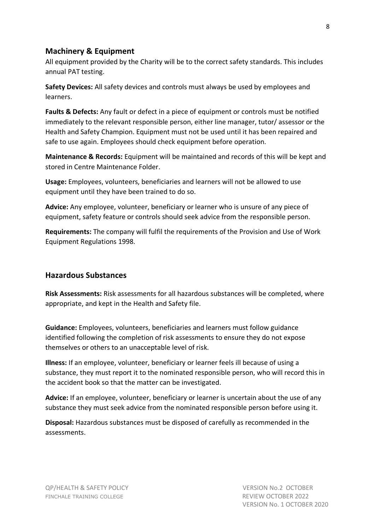#### <span id="page-7-0"></span>**Machinery & Equipment**

All equipment provided by the Charity will be to the correct safety standards. This includes annual PAT testing.

**Safety Devices:** All safety devices and controls must always be used by employees and learners.

**Faults & Defects:** Any fault or defect in a piece of equipment or controls must be notified immediately to the relevant responsible person, either line manager, tutor/ assessor or the Health and Safety Champion. Equipment must not be used until it has been repaired and safe to use again. Employees should check equipment before operation.

**Maintenance & Records:** Equipment will be maintained and records of this will be kept and stored in Centre Maintenance Folder.

**Usage:** Employees, volunteers, beneficiaries and learners will not be allowed to use equipment until they have been trained to do so.

**Advice:** Any employee, volunteer, beneficiary or learner who is unsure of any piece of equipment, safety feature or controls should seek advice from the responsible person.

**Requirements:** The company will fulfil the requirements of the Provision and Use of Work Equipment Regulations 1998.

#### <span id="page-7-1"></span>**Hazardous Substances**

**Risk Assessments:** Risk assessments for all hazardous substances will be completed, where appropriate, and kept in the Health and Safety file.

**Guidance:** Employees, volunteers, beneficiaries and learners must follow guidance identified following the completion of risk assessments to ensure they do not expose themselves or others to an unacceptable level of risk.

**Illness:** If an employee, volunteer, beneficiary or learner feels ill because of using a substance, they must report it to the nominated responsible person, who will record this in the accident book so that the matter can be investigated.

**Advice:** If an employee, volunteer, beneficiary or learner is uncertain about the use of any substance they must seek advice from the nominated responsible person before using it.

**Disposal:** Hazardous substances must be disposed of carefully as recommended in the assessments.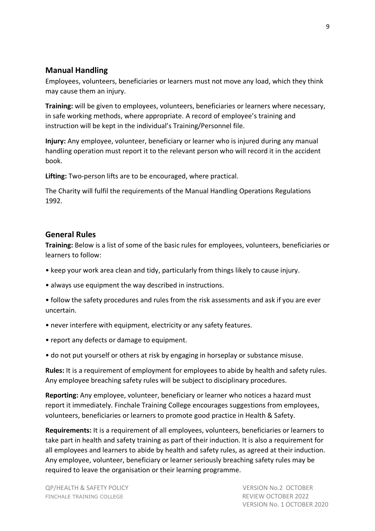#### <span id="page-8-0"></span>**Manual Handling**

Employees, volunteers, beneficiaries or learners must not move any load, which they think may cause them an injury.

**Training:** will be given to employees, volunteers, beneficiaries or learners where necessary, in safe working methods, where appropriate. A record of employee's training and instruction will be kept in the individual's Training/Personnel file.

**Injury:** Any employee, volunteer, beneficiary or learner who is injured during any manual handling operation must report it to the relevant person who will record it in the accident book.

**Lifting:** Two-person lifts are to be encouraged, where practical.

The Charity will fulfil the requirements of the Manual Handling Operations Regulations 1992.

#### <span id="page-8-1"></span>**General Rules**

**Training:** Below is a list of some of the basic rules for employees, volunteers, beneficiaries or learners to follow:

- keep your work area clean and tidy, particularly from things likely to cause injury.
- always use equipment the way described in instructions.
- follow the safety procedures and rules from the risk assessments and ask if you are ever uncertain.
- never interfere with equipment, electricity or any safety features.
- report any defects or damage to equipment.
- do not put yourself or others at risk by engaging in horseplay or substance misuse.

**Rules:** It is a requirement of employment for employees to abide by health and safety rules. Any employee breaching safety rules will be subject to disciplinary procedures.

**Reporting:** Any employee, volunteer, beneficiary or learner who notices a hazard must report it immediately. Finchale Training College encourages suggestions from employees, volunteers, beneficiaries or learners to promote good practice in Health & Safety.

**Requirements:** It is a requirement of all employees, volunteers, beneficiaries or learners to take part in health and safety training as part of their induction. It is also a requirement for all employees and learners to abide by health and safety rules, as agreed at their induction. Any employee, volunteer, beneficiary or learner seriously breaching safety rules may be required to leave the organisation or their learning programme.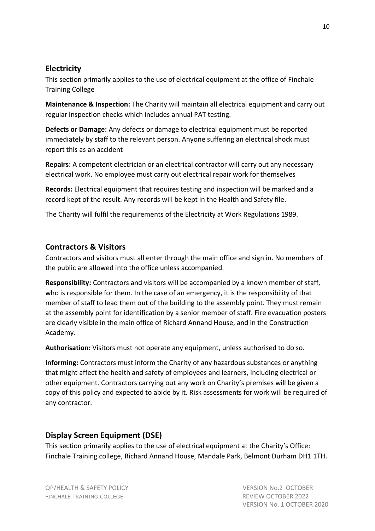#### <span id="page-9-0"></span>**Electricity**

This section primarily applies to the use of electrical equipment at the office of Finchale Training College

**Maintenance & Inspection:** The Charity will maintain all electrical equipment and carry out regular inspection checks which includes annual PAT testing.

**Defects or Damage:** Any defects or damage to electrical equipment must be reported immediately by staff to the relevant person. Anyone suffering an electrical shock must report this as an accident

**Repairs:** A competent electrician or an electrical contractor will carry out any necessary electrical work. No employee must carry out electrical repair work for themselves

**Records:** Electrical equipment that requires testing and inspection will be marked and a record kept of the result. Any records will be kept in the Health and Safety file.

The Charity will fulfil the requirements of the Electricity at Work Regulations 1989.

## <span id="page-9-1"></span>**Contractors & Visitors**

Contractors and visitors must all enter through the main office and sign in. No members of the public are allowed into the office unless accompanied.

**Responsibility:** Contractors and visitors will be accompanied by a known member of staff, who is responsible for them. In the case of an emergency, it is the responsibility of that member of staff to lead them out of the building to the assembly point. They must remain at the assembly point for identification by a senior member of staff. Fire evacuation posters are clearly visible in the main office of Richard Annand House, and in the Construction Academy.

**Authorisation:** Visitors must not operate any equipment, unless authorised to do so.

**Informing:** Contractors must inform the Charity of any hazardous substances or anything that might affect the health and safety of employees and learners, including electrical or other equipment. Contractors carrying out any work on Charity's premises will be given a copy of this policy and expected to abide by it. Risk assessments for work will be required of any contractor.

## <span id="page-9-2"></span>**Display Screen Equipment (DSE)**

This section primarily applies to the use of electrical equipment at the Charity's Office: Finchale Training college, Richard Annand House, Mandale Park, Belmont Durham DH1 1TH.